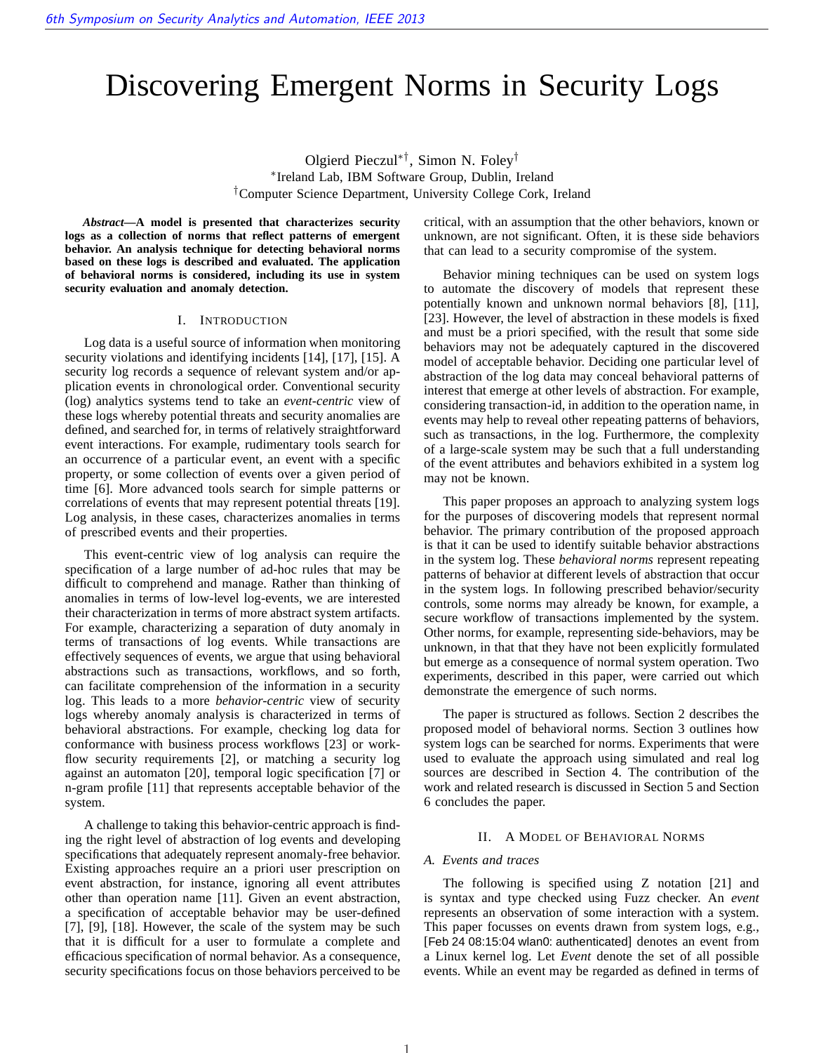# Discovering Emergent Norms in Security Logs

Olgierd Pieczul∗†, Simon N. Foley† ∗ Ireland Lab, IBM Software Group, Dublin, Ireland †Computer Science Department, University College Cork, Ireland

*Abstract***—A model is presented that characterizes security logs as a collection of norms that reflect patterns of emergent behavior. An analysis technique for detecting behavioral norms based on these logs is described and evaluated. The application of behavioral norms is considered, including its use in system security evaluation and anomaly detection.**

## I. INTRODUCTION

Log data is a useful source of information when monitoring security violations and identifying incidents [14], [17], [15]. A security log records a sequence of relevant system and/or application events in chronological order. Conventional security (log) analytics systems tend to take an *event-centric* view of these logs whereby potential threats and security anomalies are defined, and searched for, in terms of relatively straightforward event interactions. For example, rudimentary tools search for an occurrence of a particular event, an event with a specific property, or some collection of events over a given period of time [6]. More advanced tools search for simple patterns or correlations of events that may represent potential threats [19]. Log analysis, in these cases, characterizes anomalies in terms of prescribed events and their properties.

This event-centric view of log analysis can require the specification of a large number of ad-hoc rules that may be difficult to comprehend and manage. Rather than thinking of anomalies in terms of low-level log-events, we are interested their characterization in terms of more abstract system artifacts. For example, characterizing a separation of duty anomaly in terms of transactions of log events. While transactions are effectively sequences of events, we argue that using behavioral abstractions such as transactions, workflows, and so forth, can facilitate comprehension of the information in a security log. This leads to a more *behavior-centric* view of security logs whereby anomaly analysis is characterized in terms of behavioral abstractions. For example, checking log data for conformance with business process workflows [23] or workflow security requirements [2], or matching a security log against an automaton [20], temporal logic specification [7] or n-gram profile [11] that represents acceptable behavior of the system.

A challenge to taking this behavior-centric approach is finding the right level of abstraction of log events and developing specifications that adequately represent anomaly-free behavior. Existing approaches require an a priori user prescription on event abstraction, for instance, ignoring all event attributes other than operation name [11]. Given an event abstraction, a specification of acceptable behavior may be user-defined [7], [9], [18]. However, the scale of the system may be such that it is difficult for a user to formulate a complete and efficacious specification of normal behavior. As a consequence, security specifications focus on those behaviors perceived to be critical, with an assumption that the other behaviors, known or unknown, are not significant. Often, it is these side behaviors that can lead to a security compromise of the system.

Behavior mining techniques can be used on system logs to automate the discovery of models that represent these potentially known and unknown normal behaviors [8], [11], [23]. However, the level of abstraction in these models is fixed and must be a priori specified, with the result that some side behaviors may not be adequately captured in the discovered model of acceptable behavior. Deciding one particular level of abstraction of the log data may conceal behavioral patterns of interest that emerge at other levels of abstraction. For example, considering transaction-id, in addition to the operation name, in events may help to reveal other repeating patterns of behaviors, such as transactions, in the log. Furthermore, the complexity of a large-scale system may be such that a full understanding of the event attributes and behaviors exhibited in a system log may not be known.

This paper proposes an approach to analyzing system logs for the purposes of discovering models that represent normal behavior. The primary contribution of the proposed approach is that it can be used to identify suitable behavior abstractions in the system log. These *behavioral norms* represent repeating patterns of behavior at different levels of abstraction that occur in the system logs. In following prescribed behavior/security controls, some norms may already be known, for example, a secure workflow of transactions implemented by the system. Other norms, for example, representing side-behaviors, may be unknown, in that that they have not been explicitly formulated but emerge as a consequence of normal system operation. Two experiments, described in this paper, were carried out which demonstrate the emergence of such norms.

The paper is structured as follows. Section 2 describes the proposed model of behavioral norms. Section 3 outlines how system logs can be searched for norms. Experiments that were used to evaluate the approach using simulated and real log sources are described in Section 4. The contribution of the work and related research is discussed in Section 5 and Section 6 concludes the paper.

#### II. A MODEL OF BEHAVIORAL NORMS

## *A. Events and traces*

The following is specified using Z notation [21] and is syntax and type checked using Fuzz checker. An *event* represents an observation of some interaction with a system. This paper focusses on events drawn from system logs, e.g., [Feb 24 08:15:04 wlan0: authenticated] denotes an event from a Linux kernel log. Let *Event* denote the set of all possible events. While an event may be regarded as defined in terms of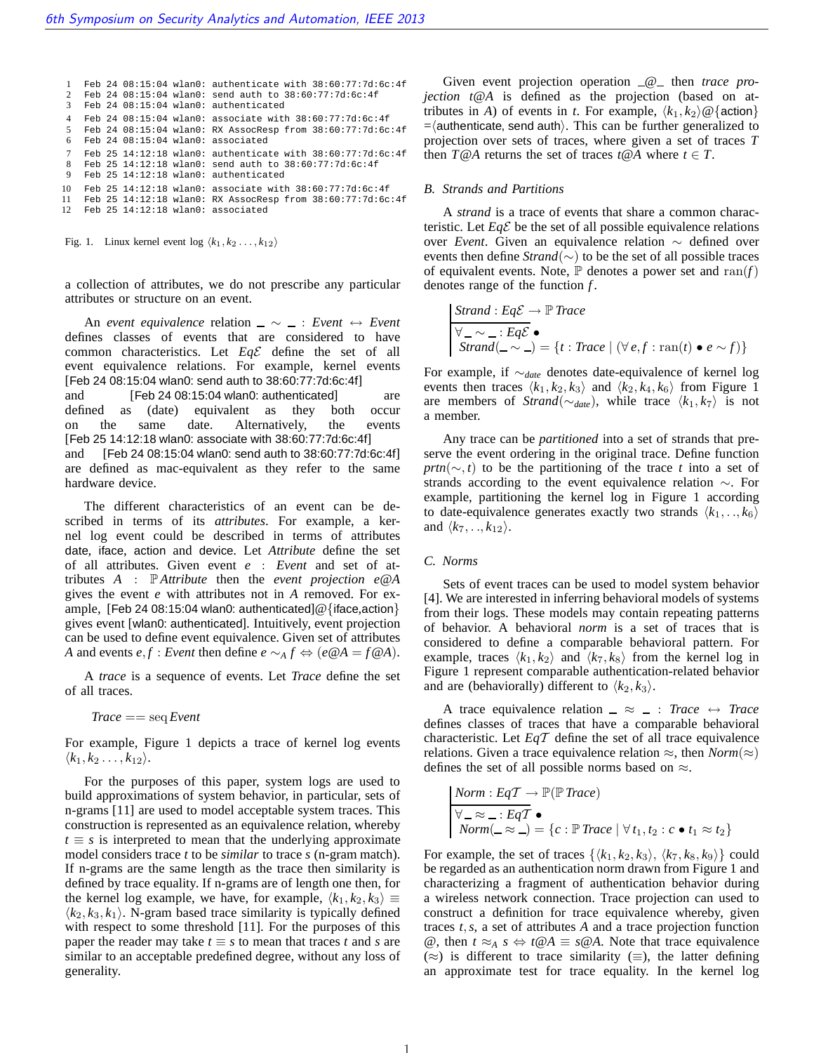```
1 Feb 24 08:15:04 wlan0: authenticate with 38:60:77:7d:6c:4f
2 Feb 24 08:15:04 wlan0: send auth to 38:60:77:7d:6c:4f
   Feb 24 08:15:04 wlan0: authenticated
4 Feb 24 08:15:04 wlan0: associate with 38:60:77:7d:6c:4f
   5 Feb 24 08:15:04 wlan0: RX AssocResp from 38:60:77:7d:6c:4f
6 Feb 24 08:15:04 wlan0: associated
7 Feb 25 14:12:18 wlan0: authenticate with 38:60:77:7d:6c:4f
8 Feb 25 14:12:18 wlan0: send auth to 38:60:77:7d:6c:4f
   Feb 25 14:12:18 wlan0: authenticated
10 Feb 25 14:12:18 wlan0: associate with 38:60:77:7d:6c:4f
11 Feb 25 14:12:18 wlan0: RX AssocResp from 38:60:77:7d:6c:4f
   Feb 25 14:12:18 wlan0: associated
```
Fig. 1. Linux kernel event log  $\langle k_1, k_2 \ldots, k_{12} \rangle$ 

a collection of attributes, we do not prescribe any particular attributes or structure on an event.

An *event equivalence* relation ∼ : *Event* ↔ *Event* defines classes of events that are considered to have common characteristics. Let *Eq*E define the set of all event equivalence relations. For example, kernel events [Feb 24 08:15:04 wlan0: send auth to 38:60:77:7d:6c:4f] and [Feb 24 08:15:04 wlan0: authenticated] are defined as (date) equivalent as they both occur on the same date. Alternatively, the events [Feb 25 14:12:18 wlan0: associate with 38:60:77:7d:6c:4f] and [Feb 24 08:15:04 wlan0: send auth to 38:60:77:7d:6c:4f] are defined as mac-equivalent as they refer to the same

The different characteristics of an event can be described in terms of its *attributes*. For example, a kernel log event could be described in terms of attributes date, iface, action and device. Let *Attribute* define the set of all attributes. Given event *e* : *Event* and set of attributes *A* : P *Attribute* then the *event projection e@A* gives the event *e* with attributes not in *A* removed. For example, [Feb 24 08:15:04 wlan0: authenticated]*@*{iface,action} gives event [wlan0: authenticated]. Intuitively, event projection can be used to define event equivalence. Given set of attributes *A* and events *e*, *f* : *Event* then define  $e \sim_A f \Leftrightarrow (e \mathcal{Q}A = f \mathcal{Q}A)$ .

A *trace* is a sequence of events. Let *Trace* define the set of all traces.

*Trace* == seq *Event*

hardware device.

For example, Figure 1 depicts a trace of kernel log events  $\langle k_1, k_2 \ldots, k_{12} \rangle$ .

For the purposes of this paper, system logs are used to build approximations of system behavior, in particular, sets of n-grams [11] are used to model acceptable system traces. This construction is represented as an equivalence relation, whereby  $t \equiv s$  is interpreted to mean that the underlying approximate model considers trace *t* to be *similar* to trace *s* (n-gram match). If n-grams are the same length as the trace then similarity is defined by trace equality. If n-grams are of length one then, for the kernel log example, we have, for example,  $\langle k_1, k_2, k_3 \rangle \equiv$  $\langle k_2, k_3, k_1 \rangle$ . N-gram based trace similarity is typically defined with respect to some threshold [11]. For the purposes of this paper the reader may take  $t \equiv s$  to mean that traces  $t$  and  $s$  are similar to an acceptable predefined degree, without any loss of generality.

Given event projection operation  $\Box$ @ then *trace projection t@A* is defined as the projection (based on attributes in *A*) of events in *t*. For example,  $\langle k_1, k_2 \rangle \otimes \{$  action  $\}$  $=\langle$  authenticate, send auth). This can be further generalized to projection over sets of traces, where given a set of traces *T* then *T*@A returns the set of traces  $t@A$  where  $t \in T$ .

#### *B. Strands and Partitions*

A *strand* is a trace of events that share a common characteristic. Let  $Eq\mathcal{E}$  be the set of all possible equivalence relations over *Event*. Given an equivalence relation ∼ defined over events then define *Strand*(∼) to be the set of all possible traces of equivalent events. Note,  $\mathbb P$  denotes a power set and ran(*f*) denotes range of the function *f* .

$$
Strand: EqE \to \mathbb{P} Trace
$$
  
\n
$$
\forall_{-\sim} : EqE \bullet
$$
  
\n
$$
Strand(\sim \sim) = \{t : Trace \mid (\forall e, f : \text{ran}(t) \bullet e \sim f) \}
$$

For example, if ∼*date* denotes date-equivalence of kernel log events then traces  $\langle k_1, k_2, k_3 \rangle$  and  $\langle k_2, k_4, k_6 \rangle$  from Figure 1 are members of *Strand*( $\sim_{date}$ ), while trace  $\langle k_1, k_7 \rangle$  is not a member.

Any trace can be *partitioned* into a set of strands that preserve the event ordering in the original trace. Define function *prtn*( $\sim$ , *t*) to be the partitioning of the trace *t* into a set of strands according to the event equivalence relation ∼. For example, partitioning the kernel log in Figure 1 according to date-equivalence generates exactly two strands  $\langle k_1, \ldots, k_6 \rangle$ and  $\langle k_7, \ldots, k_{12} \rangle$ .

## *C. Norms*

Sets of event traces can be used to model system behavior [4]. We are interested in inferring behavioral models of systems from their logs. These models may contain repeating patterns of behavior. A behavioral *norm* is a set of traces that is considered to define a comparable behavioral pattern. For example, traces  $\langle k_1, k_2 \rangle$  and  $\langle k_7, k_8 \rangle$  from the kernel log in Figure 1 represent comparable authentication-related behavior and are (behaviorally) different to  $\langle k_2, k_3 \rangle$ .

A trace equivalence relation  $\approx$   $\approx$   $\approx$  *Trace*  $\leftrightarrow$  *Trace* defines classes of traces that have a comparable behavioral characteristic. Let  $EqT$  define the set of all trace equivalence relations. Given a trace equivalence relation  $\approx$ , then  $Norm(\approx)$ defines the set of all possible norms based on  $\approx$ .

$$
Norm : EqT \to \mathbb{P}(\mathbb{P} Trace)
$$
  
\n
$$
\forall_{-\infty} : EqT \bullet
$$
  
\n
$$
Norm(\infty \infty) = \{c : \mathbb{P} Trace \mid \forall t_1, t_2 : c \bullet t_1 \approx t_2\}
$$

For example, the set of traces  $\{\langle k_1, k_2, k_3 \rangle, \langle k_7, k_8, k_9 \rangle\}$  could be regarded as an authentication norm drawn from Figure 1 and characterizing a fragment of authentication behavior during a wireless network connection. Trace projection can used to construct a definition for trace equivalence whereby, given traces *t*,*s*, a set of attributes *A* and a trace projection function *@*, then *t* ≈*A s*  $\Leftrightarrow$  *t@A*  $\equiv$  *s@A*. Note that trace equivalence (≈) is different to trace similarity ( $\equiv$ ), the latter defining an approximate test for trace equality. In the kernel log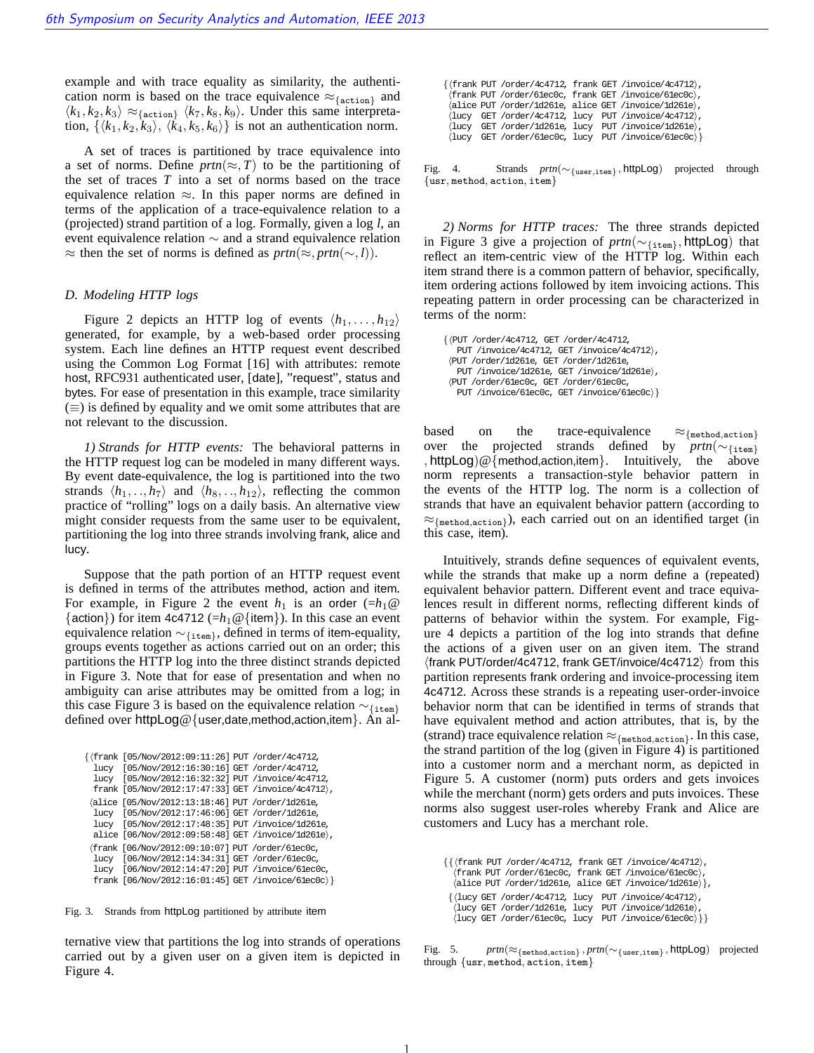example and with trace equality as similarity, the authentication norm is based on the trace equivalence  $\approx$ <sub>{action}</sub> and  $\langle k_1, k_2, k_3 \rangle \approx$  {action}  $\langle k_7, k_8, k_9 \rangle$ . Under this same interpretation,  $\{\langle k_1, k_2, k_3 \rangle, \langle k_4, k_5, k_6 \rangle\}$  is not an authentication norm.

A set of traces is partitioned by trace equivalence into a set of norms. Define  $prtn(\approx, T)$  to be the partitioning of the set of traces *T* into a set of norms based on the trace equivalence relation ≈. In this paper norms are defined in terms of the application of a trace-equivalence relation to a (projected) strand partition of a log. Formally, given a log *l*, an event equivalence relation ∼ and a strand equivalence relation  $\approx$  then the set of norms is defined as  $prtn(\approx, prtn(\sim, l)).$ 

#### *D. Modeling HTTP logs*

Figure 2 depicts an HTTP log of events  $\langle h_1, \ldots, h_{12} \rangle$ generated, for example, by a web-based order processing system. Each line defines an HTTP request event described using the Common Log Format [16] with attributes: remote host, RFC931 authenticated user, [date], "request", status and bytes. For ease of presentation in this example, trace similarity  $(\equiv)$  is defined by equality and we omit some attributes that are not relevant to the discussion.

*1) Strands for HTTP events:* The behavioral patterns in the HTTP request log can be modeled in many different ways. By event date-equivalence, the log is partitioned into the two strands  $\langle h_1, ..., h_7 \rangle$  and  $\langle h_8, ..., h_{12} \rangle$ , reflecting the common practice of "rolling" logs on a daily basis. An alternative view might consider requests from the same user to be equivalent, partitioning the log into three strands involving frank, alice and lucy.

Suppose that the path portion of an HTTP request event is defined in terms of the attributes method, action and item. For example, in Figure 2 the event  $h_1$  is an order (= $h_1$ *@* {action}) for item 4c4712 ( $=h_1 \omega$  {item}). In this case an event equivalence relation  $\sim$ <sub>{item}</sub>, defined in terms of item-equality, groups events together as actions carried out on an order; this partitions the HTTP log into the three distinct strands depicted in Figure 3. Note that for ease of presentation and when no ambiguity can arise attributes may be omitted from a log; in this case Figure 3 is based on the equivalence relation  $\sim$ <sub>{item}</sub> defined over httpLog*@*{user,date,method,action,item}. An al-

| {\frank [05/Nov/2012:09:11:26] PUT /order/4c4712,<br>lucy [05/Nov/2012:16:30:16] GET /order/4c4712,<br>lucy [05/Nov/2012:16:32:32] PUT /invoice/4c4712,<br>frank [05/Nov/2012:17:47:33] GET /invoice/4c4712), |  |
|---------------------------------------------------------------------------------------------------------------------------------------------------------------------------------------------------------------|--|
| (alice [05/Nov/2012:13:18:46] PUT /order/1d261e,<br>lucy [05/Nov/2012:17:46:06] GET /order/1d261e,<br>lucy [05/Nov/2012:17:48:35] PUT /invoice/1d261e,<br>alice [06/Nov/2012:09:58:48] GET /invoice/1d261e),  |  |
| (frank [06/Nov/2012:09:10:07] PUT /order/61ec0c,<br>lucy [06/Nov/2012:14:34:31] GET /order/61ec0c,<br>lucy [06/Nov/2012:14:47:20] PUT /invoice/61ec0c,<br>frank [06/Nov/2012:16:01:45] GET /invoice/61ec0c)}  |  |

Fig. 3. Strands from httpLog partitioned by attribute item

ternative view that partitions the log into strands of operations carried out by a given user on a given item is depicted in Figure 4.

1

|  |  | $\{\frac{\text{frac}}{\text{error}}\$ /order/4c4712, frank GET /invoice/4c4712), |
|--|--|----------------------------------------------------------------------------------|
|  |  | (frank PUT /order/61ec0c, frank GET /invoice/61ec0c),                            |
|  |  | (alice PUT /order/1d261e, alice GET /invoice/1d261e),                            |
|  |  | (lucy GET /order/4c4712, lucy PUT /invoice/4c4712),                              |
|  |  | (lucy GET /order/1d261e, lucy PUT /invoice/1d261e),                              |
|  |  | \lucy GET /order/6lec0c, lucy PUT /invoice/6lec0c)}                              |

Fig. 4. Strands *prtn*(∼{user,item} , httpLog) projected through {usr, method, action, item}

*2) Norms for HTTP traces:* The three strands depicted in Figure 3 give a projection of *prtn*(∼{item}, httpLog) that reflect an item-centric view of the HTTP log. Within each item strand there is a common pattern of behavior, specifically, item ordering actions followed by item invoicing actions. This repeating pattern in order processing can be characterized in terms of the norm:

 $\{\langle$  PUT /order/4c4712, GET /order/4c4712, PUT /invoice/4c4712, GET /invoice/4c4712}, hPUT /order/1d261e, GET /order/1d261e, PUT /invoice/1d261e, GET /invoice/1d261e), hPUT /order/61ec0c, GET /order/61ec0c, PUT /invoice/61ec0c, GET /invoice/61ec0c)}

based on the trace-equivalence  $\approx$ {method,action} over the projected strands defined by *prtn*(∼{item} , httpLog)*@*{method,action,item}. Intuitively, the above norm represents a transaction-style behavior pattern in the events of the HTTP log. The norm is a collection of strands that have an equivalent behavior pattern (according to ≈{method,action}), each carried out on an identified target (in this case, item).

Intuitively, strands define sequences of equivalent events, while the strands that make up a norm define a (repeated) equivalent behavior pattern. Different event and trace equivalences result in different norms, reflecting different kinds of patterns of behavior within the system. For example, Figure 4 depicts a partition of the log into strands that define the actions of a given user on an given item. The strand  $\langle$ frank PUT/order/4c4712, frank GET/invoice/4c4712) from this partition represents frank ordering and invoice-processing item 4c4712. Across these strands is a repeating user-order-invoice behavior norm that can be identified in terms of strands that have equivalent method and action attributes, that is, by the (strand) trace equivalence relation  $\approx$ <sub>{method,action}</sub>. In this case, the strand partition of the log (given in Figure 4) is partitioned into a customer norm and a merchant norm, as depicted in Figure 5. A customer (norm) puts orders and gets invoices while the merchant (norm) gets orders and puts invoices. These norms also suggest user-roles whereby Frank and Alice are customers and Lucy has a merchant role.

| $\{\{\text{frank PUT /order}/4c4712, frank GET /invoice/4c4712}\},\$                                                                                          |
|---------------------------------------------------------------------------------------------------------------------------------------------------------------|
| $\langle \text{frank PUT} \ / \text{order/61} \text{e} \text{c} 0 \text{c}, \ \text{frank GET} \ / \text{invoice/61} \text{e} \text{c} 0 \text{c} \rangle,$   |
| (alice PUT /order/1d261e, alice GET /invoice/1d261e)},                                                                                                        |
| $\begin{array}{ll}\n\{\text{lucy GET /order/4c4712, lucy PUT /invoice/4c4712}\},\\ \n\text{lucy GET /order/1d261e, lucy PUT /invoice/1d261e}\},\n\end{array}$ |
|                                                                                                                                                               |
| \lucy GET /order/61ec0c, lucy PUT /invoice/61ec0c\}}                                                                                                          |
|                                                                                                                                                               |

Fig. 5. *prtn*(≈{method,action} , *prtn*(∼{user,item} , httpLog) projected through {usr, method, action, item}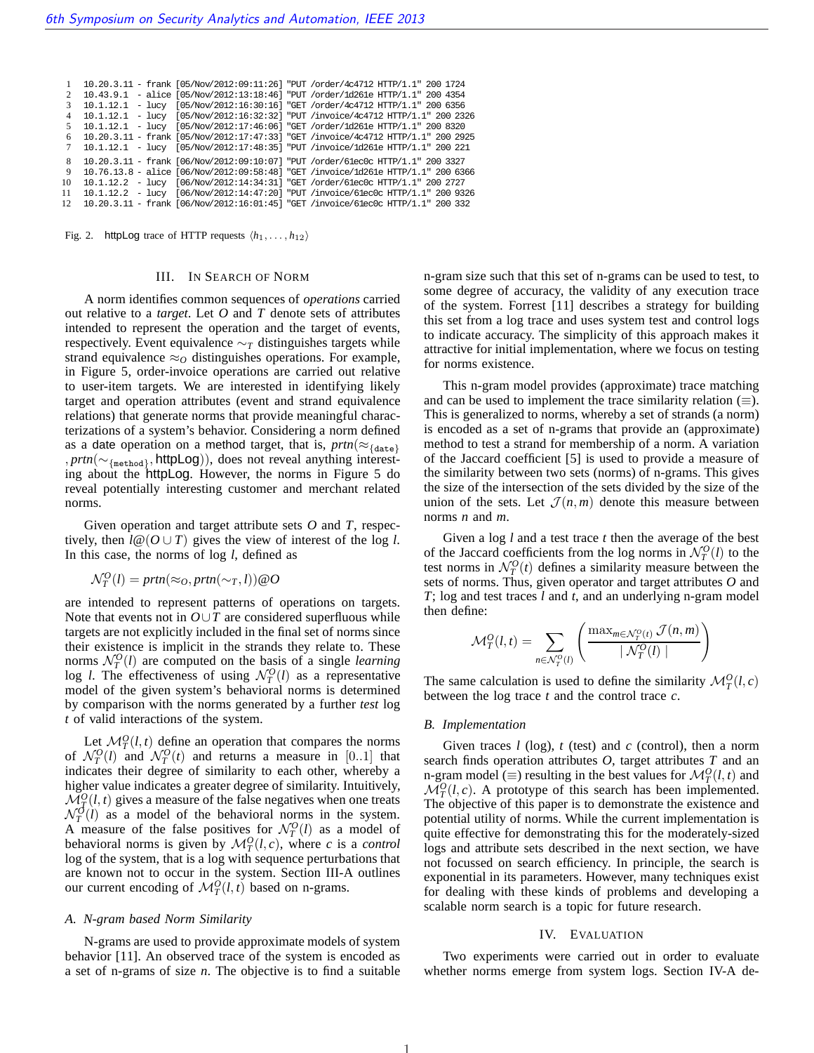```
1 10.20.3.11 - frank [05/Nov/2012:09:11:26] "PUT /order/4c4712 HTTP/1.1" 200 1724
2 10.43.9.1 - alice [05/Nov/2012:13:18:46] "PUT /order/1d261e HTTP/1.1" 200 4354
3 10.1.12.1 - lucy [05/Nov/2012:16:30:16] "GET /order/4c4712 HTTP/1.1" 200 6356
    10.1.12.1 - \text{lucy} [05/\text{Nov}/2012:16:32:32] "PUT /invoice/4c4712 HTTP/1.1" 200 2326<br>10.1.12.1 - \text{lucy} [05/\text{Nov}/2012:17:46:06] "GET /order/1d261e HTTP/1.1" 200 8320
                         5 10.1.12.1 - lucy [05/Nov/2012:17:46:06] "GET /order/1d261e HTTP/1.1" 200 8320
    6 10.20.3.11 - frank [05/Nov/2012:17:47:33] "GET /invoice/4c4712 HTTP/1.1" 200 2925
7 10.1.12.1 - lucy [05/Nov/2012:17:48:35] "PUT /invoice/1d261e HTTP/1.1" 200 221
8 10.20.3.11 - frank [06/Nov/2012:09:10:07] "PUT /order/61ec0c HTTP/1.1" 200 3327
9 10.76.13.8 - alice [06/Nov/2012:09:58:48] "GET /invoice/1d261e HTTP/1.1" 200 6366
    10 10.1.12.2 - lucy [06/Nov/2012:14:34:31] "GET /order/61ec0c HTTP/1.1" 200 2727
11 10.1.12.2 - lucy [06/Nov/2012:14:47:20] "PUT /invoice/61ec0c HTTP/1.1" 200 9326
12 10.20.3.11 - frank [06/Nov/2012:16:01:45] "GET /invoice/61ec0c HTTP/1.1" 200 332
```
Fig. 2. **httpLog** trace of HTTP requests  $\langle h_1, \ldots, h_{12} \rangle$ 

#### III. IN SEARCH OF NORM

A norm identifies common sequences of *operations* carried out relative to a *target*. Let *O* and *T* denote sets of attributes intended to represent the operation and the target of events, respectively. Event equivalence ∼*<sup>T</sup>* distinguishes targets while strand equivalence  $\approx_O$  distinguishes operations. For example, in Figure 5, order-invoice operations are carried out relative to user-item targets. We are interested in identifying likely target and operation attributes (event and strand equivalence relations) that generate norms that provide meaningful characterizations of a system's behavior. Considering a norm defined as a date operation on a method target, that is,  $prtn(\approx_{\text{date}})$ , *prtn*(∼{method}, httpLog)), does not reveal anything interesting about the httpLog. However, the norms in Figure 5 do reveal potentially interesting customer and merchant related norms.

Given operation and target attribute sets *O* and *T*, respectively, then  $l@(O \cup T)$  gives the view of interest of the log *l*. In this case, the norms of log *l*, defined as

$$
\mathcal{N}_T^O(l) = prtn(\approx_O, prtn(\sim_T, l)) @ O
$$

are intended to represent patterns of operations on targets. Note that events not in  $O \cup T$  are considered superfluous while targets are not explicitly included in the final set of norms since their existence is implicit in the strands they relate to. These norms  $\mathcal{N}_T^O(l)$  are computed on the basis of a single *learning* log *l*. The effectiveness of using  $\mathcal{N}_T^O(l)$  as a representative model of the given system's behavioral norms is determined by comparison with the norms generated by a further *test* log *t* of valid interactions of the system.

Let  $\mathcal{M}_T^O(l,t)$  define an operation that compares the norms of  $\mathcal{N}_T^O(t)$  and  $\mathcal{N}_T^O(t)$  and returns a measure in [0..1] that indicates their degree of similarity to each other, whereby a higher value indicates a greater degree of similarity. Intuitively,  $\overline{\mathcal{M}}_Q^Q(l, t)$  gives a measure of the false negatives when one treats  $\mathcal{N}_T^{\mathcal{O}}(l)$  as a model of the behavioral norms in the system. A measure of the false positives for  $\mathcal{N}_T^O(l)$  as a model of behavioral norms is given by  $\mathcal{M}_T^O(l, c)$ , where *c* is a *control* log of the system, that is a log with sequence perturbations that are known not to occur in the system. Section III-A outlines our current encoding of  $\mathcal{M}_T^O(l,t)$  based on n-grams.

## *A. N-gram based Norm Similarity*

N-grams are used to provide approximate models of system behavior [11]. An observed trace of the system is encoded as a set of n-grams of size *n*. The objective is to find a suitable n-gram size such that this set of n-grams can be used to test, to some degree of accuracy, the validity of any execution trace of the system. Forrest [11] describes a strategy for building this set from a log trace and uses system test and control logs to indicate accuracy. The simplicity of this approach makes it attractive for initial implementation, where we focus on testing for norms existence.

This n-gram model provides (approximate) trace matching and can be used to implement the trace similarity relation  $(\equiv)$ . This is generalized to norms, whereby a set of strands (a norm) is encoded as a set of n-grams that provide an (approximate) method to test a strand for membership of a norm. A variation of the Jaccard coefficient [5] is used to provide a measure of the similarity between two sets (norms) of n-grams. This gives the size of the intersection of the sets divided by the size of the union of the sets. Let  $\mathcal{J}(n,m)$  denote this measure between norms *n* and *m*.

Given a log *l* and a test trace *t* then the average of the best of the Jaccard coefficients from the log norms in  $\mathcal{N}_T^O(l)$  to the test norms in  $\mathcal{N}_T^O(t)$  defines a similarity measure between the sets of norms. Thus, given operator and target attributes *O* and *T*; log and test traces *l* and *t*, and an underlying n-gram model then define:

$$
\mathcal{M}_T^O(l,t) = \sum_{n \in \mathcal{N}_T^O(l)} \left( \frac{\max_{m \in \mathcal{N}_T^O(t)} \mathcal{J}(n,m)}{|\mathcal{N}_T^O(l)|} \right)
$$

The same calculation is used to define the similarity  $\mathcal{M}_T^O(l, c)$ between the log trace *t* and the control trace *c*.

#### *B. Implementation*

Given traces *l* (log), *t* (test) and *c* (control), then a norm search finds operation attributes *O*, target attributes *T* and an n-gram model ( $\equiv$ ) resulting in the best values for  $\mathcal{M}_T^O(l,t)$  and  $\mathcal{M}_T^Q(l, c)$ . A prototype of this search has been implemented. The objective of this paper is to demonstrate the existence and potential utility of norms. While the current implementation is quite effective for demonstrating this for the moderately-sized logs and attribute sets described in the next section, we have not focussed on search efficiency. In principle, the search is exponential in its parameters. However, many techniques exist for dealing with these kinds of problems and developing a scalable norm search is a topic for future research.

#### IV. EVALUATION

Two experiments were carried out in order to evaluate whether norms emerge from system logs. Section IV-A de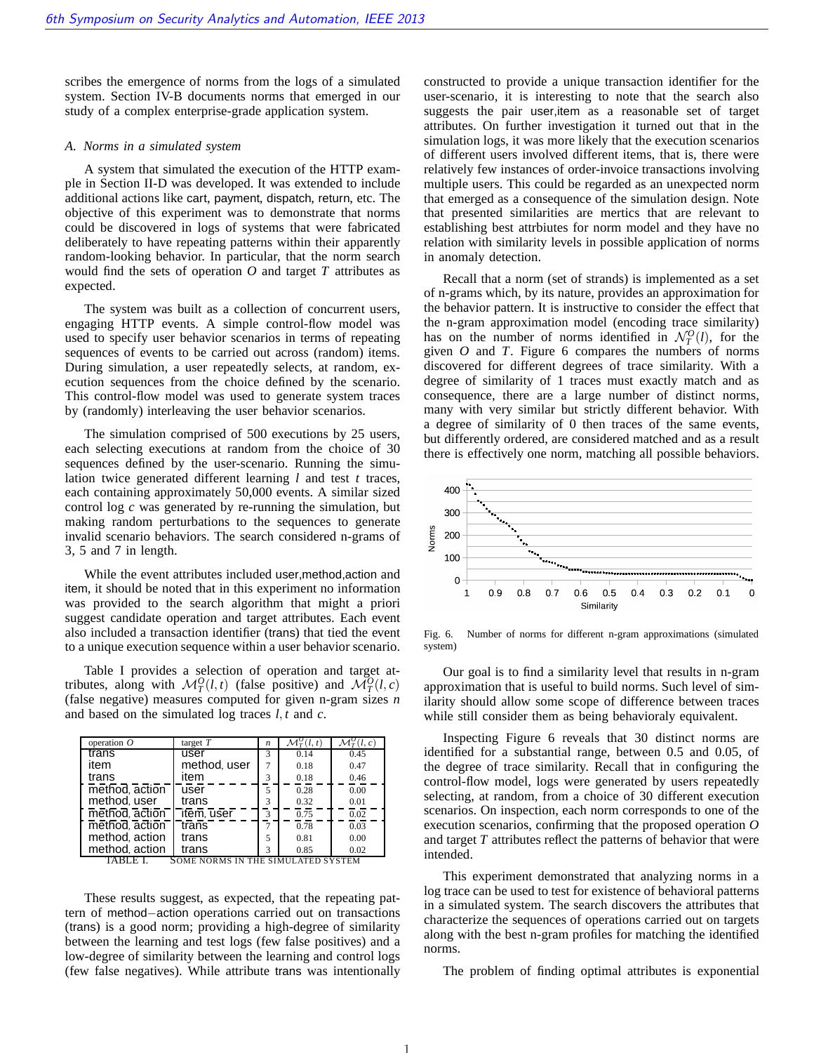scribes the emergence of norms from the logs of a simulated system. Section IV-B documents norms that emerged in our study of a complex enterprise-grade application system.

## *A. Norms in a simulated system*

A system that simulated the execution of the HTTP example in Section II-D was developed. It was extended to include additional actions like cart, payment, dispatch, return, etc. The objective of this experiment was to demonstrate that norms could be discovered in logs of systems that were fabricated deliberately to have repeating patterns within their apparently random-looking behavior. In particular, that the norm search would find the sets of operation *O* and target *T* attributes as expected.

The system was built as a collection of concurrent users, engaging HTTP events. A simple control-flow model was used to specify user behavior scenarios in terms of repeating sequences of events to be carried out across (random) items. During simulation, a user repeatedly selects, at random, execution sequences from the choice defined by the scenario. This control-flow model was used to generate system traces by (randomly) interleaving the user behavior scenarios.

The simulation comprised of 500 executions by 25 users, each selecting executions at random from the choice of 30 sequences defined by the user-scenario. Running the simulation twice generated different learning *l* and test *t* traces, each containing approximately 50,000 events. A similar sized control log *c* was generated by re-running the simulation, but making random perturbations to the sequences to generate invalid scenario behaviors. The search considered n-grams of 3, 5 and 7 in length.

While the event attributes included user,method,action and item, it should be noted that in this experiment no information was provided to the search algorithm that might a priori suggest candidate operation and target attributes. Each event also included a transaction identifier (trans) that tied the event to a unique execution sequence within a user behavior scenario.

Table I provides a selection of operation and target attributes, along with  $\mathcal{M}_T^O(l,t)$  (false positive) and  $\mathcal{M}_T^O(l,c)$ (false negative) measures computed for given n-gram sizes *n* and based on the simulated log traces *l*, *t* and *c*.

| operation $O$                      | target $T$   | n             |      |      |
|------------------------------------|--------------|---------------|------|------|
| trans                              | user         | 3             | 0.14 | 0.45 |
| item                               | method, user | 7             | 0.18 | 0.47 |
| trans                              | item         | 3             | 0.18 | 0.46 |
| method, action                     | user         | 5             | 0.28 | 0.00 |
| method, user                       | trans        | 3             | 0.32 | 0.01 |
| method, action                     | item, user   | 3             | 0.75 | 0.02 |
| method. action                     | trans        |               | 0.78 | 0.03 |
| method, action                     | trans        | 5             | 0.81 | 0.00 |
| method, action                     | trans        | $\mathcal{R}$ | 0.85 | 0.02 |
| SOME NORMS IN THE SIMULATED SYSTEM |              |               |      |      |

These results suggest, as expected, that the repeating pattern of method−action operations carried out on transactions (trans) is a good norm; providing a high-degree of similarity between the learning and test logs (few false positives) and a low-degree of similarity between the learning and control logs (few false negatives). While attribute trans was intentionally

1

constructed to provide a unique transaction identifier for the user-scenario, it is interesting to note that the search also suggests the pair user,item as a reasonable set of target attributes. On further investigation it turned out that in the simulation logs, it was more likely that the execution scenarios of different users involved different items, that is, there were relatively few instances of order-invoice transactions involving multiple users. This could be regarded as an unexpected norm that emerged as a consequence of the simulation design. Note that presented similarities are mertics that are relevant to establishing best attrbiutes for norm model and they have no relation with similarity levels in possible application of norms in anomaly detection.

Recall that a norm (set of strands) is implemented as a set of n-grams which, by its nature, provides an approximation for the behavior pattern. It is instructive to consider the effect that the n-gram approximation model (encoding trace similarity) has on the number of norms identified in  $\mathcal{N}_T^O(l)$ , for the given *O* and *T*. Figure 6 compares the numbers of norms discovered for different degrees of trace similarity. With a degree of similarity of 1 traces must exactly match and as consequence, there are a large number of distinct norms, many with very similar but strictly different behavior. With a degree of similarity of 0 then traces of the same events, but differently ordered, are considered matched and as a result there is effectively one norm, matching all possible behaviors.



Fig. 6. Number of norms for different n-gram approximations (simulated system)

Our goal is to find a similarity level that results in n-gram approximation that is useful to build norms. Such level of similarity should allow some scope of difference between traces while still consider them as being behavioraly equivalent.

Inspecting Figure 6 reveals that 30 distinct norms are identified for a substantial range, between 0.5 and 0.05, of the degree of trace similarity. Recall that in configuring the control-flow model, logs were generated by users repeatedly selecting, at random, from a choice of 30 different execution scenarios. On inspection, each norm corresponds to one of the execution scenarios, confirming that the proposed operation *O* and target *T* attributes reflect the patterns of behavior that were intended.

This experiment demonstrated that analyzing norms in a log trace can be used to test for existence of behavioral patterns in a simulated system. The search discovers the attributes that characterize the sequences of operations carried out on targets along with the best n-gram profiles for matching the identified norms.

The problem of finding optimal attributes is exponential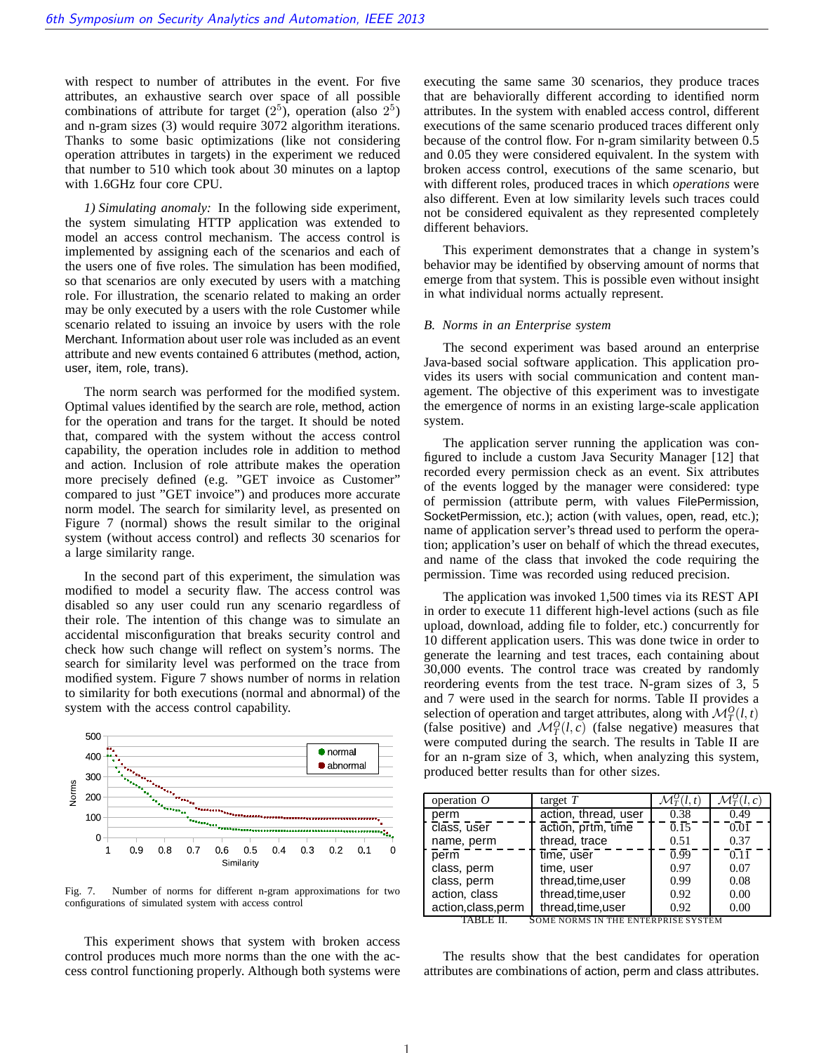with respect to number of attributes in the event. For five attributes, an exhaustive search over space of all possible combinations of attribute for target  $(2^5)$ , operation (also  $2^5$ ) and n-gram sizes (3) would require 3072 algorithm iterations. Thanks to some basic optimizations (like not considering operation attributes in targets) in the experiment we reduced that number to 510 which took about 30 minutes on a laptop with 1.6GHz four core CPU.

*1) Simulating anomaly:* In the following side experiment, the system simulating HTTP application was extended to model an access control mechanism. The access control is implemented by assigning each of the scenarios and each of the users one of five roles. The simulation has been modified, so that scenarios are only executed by users with a matching role. For illustration, the scenario related to making an order may be only executed by a users with the role Customer while scenario related to issuing an invoice by users with the role Merchant. Information about user role was included as an event attribute and new events contained 6 attributes (method, action, user, item, role, trans).

The norm search was performed for the modified system. Optimal values identified by the search are role, method, action for the operation and trans for the target. It should be noted that, compared with the system without the access control capability, the operation includes role in addition to method and action. Inclusion of role attribute makes the operation more precisely defined (e.g. "GET invoice as Customer" compared to just "GET invoice") and produces more accurate norm model. The search for similarity level, as presented on Figure 7 (normal) shows the result similar to the original system (without access control) and reflects 30 scenarios for a large similarity range.

In the second part of this experiment, the simulation was modified to model a security flaw. The access control was disabled so any user could run any scenario regardless of their role. The intention of this change was to simulate an accidental misconfiguration that breaks security control and check how such change will reflect on system's norms. The search for similarity level was performed on the trace from modified system. Figure 7 shows number of norms in relation to similarity for both executions (normal and abnormal) of the system with the access control capability.



Fig. 7. Number of norms for different n-gram approximations for two configurations of simulated system with access control

This experiment shows that system with broken access control produces much more norms than the one with the access control functioning properly. Although both systems were executing the same same 30 scenarios, they produce traces that are behaviorally different according to identified norm attributes. In the system with enabled access control, different executions of the same scenario produced traces different only because of the control flow. For n-gram similarity between 0.5 and 0.05 they were considered equivalent. In the system with broken access control, executions of the same scenario, but with different roles, produced traces in which *operations* were also different. Even at low similarity levels such traces could not be considered equivalent as they represented completely different behaviors.

This experiment demonstrates that a change in system's behavior may be identified by observing amount of norms that emerge from that system. This is possible even without insight in what individual norms actually represent.

#### *B. Norms in an Enterprise system*

The second experiment was based around an enterprise Java-based social software application. This application provides its users with social communication and content management. The objective of this experiment was to investigate the emergence of norms in an existing large-scale application system.

The application server running the application was configured to include a custom Java Security Manager [12] that recorded every permission check as an event. Six attributes of the events logged by the manager were considered: type of permission (attribute perm, with values FilePermission, SocketPermission, etc.); action (with values, open, read, etc.); name of application server's thread used to perform the operation; application's user on behalf of which the thread executes, and name of the class that invoked the code requiring the permission. Time was recorded using reduced precision.

The application was invoked 1,500 times via its REST API in order to execute 11 different high-level actions (such as file upload, download, adding file to folder, etc.) concurrently for 10 different application users. This was done twice in order to generate the learning and test traces, each containing about 30,000 events. The control trace was created by randomly reordering events from the test trace. N-gram sizes of 3, 5 and 7 were used in the search for norms. Table II provides a selection of operation and target attributes, along with  $\mathcal{M}_T^O(l,t)$ (false positive) and  $\mathcal{M}_T^O(l, c)$  (false negative) measures that were computed during the search. The results in Table II are for an n-gram size of 3, which, when analyzing this system, produced better results than for other sizes.

| operation $O$                                                                                   | target $T$           |                   |      |  |
|-------------------------------------------------------------------------------------------------|----------------------|-------------------|------|--|
| perm                                                                                            | action, thread, user | 0.38              | 0.49 |  |
| class, user                                                                                     | action, prtm, time   | $\overline{0.15}$ | 0.01 |  |
| name, perm                                                                                      | thread, trace        | 0.51              | 0.37 |  |
| perm                                                                                            | time, user           | $\sqrt{0.99}$     | 0.11 |  |
| class, perm                                                                                     | time, user           | 0.97              | 0.07 |  |
| class, perm                                                                                     | thread, time, user   | 0.99              | 0.08 |  |
| action, class                                                                                   | thread, time, user   | 0.92              | 0.00 |  |
| action, class, perm                                                                             | thread, time, user   | 0.92              | 0.00 |  |
| mantrin<br>$\Gamma_{\triangle M}$ is a sequence in the complete over the $\Gamma_{\triangle M}$ |                      |                   |      |  |

TABLE II. SOME NORMS IN THE ENTERPRISE SYSTEM

The results show that the best candidates for operation attributes are combinations of action, perm and class attributes.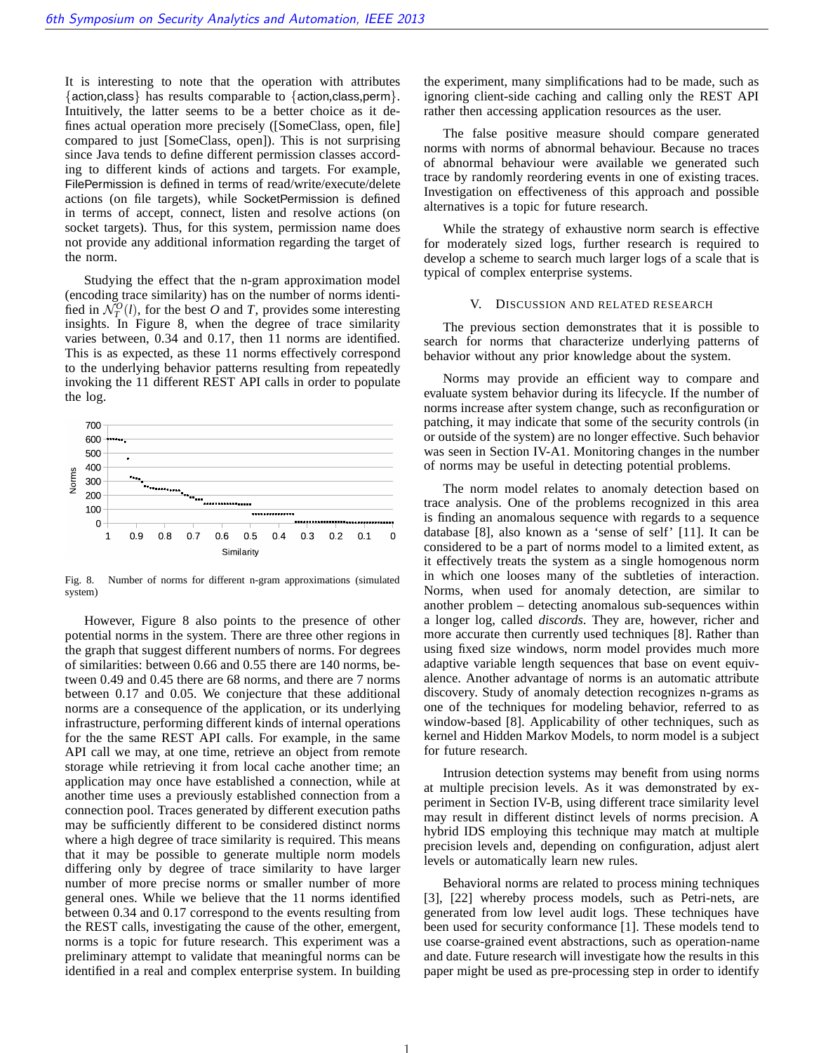It is interesting to note that the operation with attributes {action,class} has results comparable to {action,class,perm}. Intuitively, the latter seems to be a better choice as it defines actual operation more precisely ([SomeClass, open, file] compared to just [SomeClass, open]). This is not surprising since Java tends to define different permission classes according to different kinds of actions and targets. For example, FilePermission is defined in terms of read/write/execute/delete actions (on file targets), while SocketPermission is defined in terms of accept, connect, listen and resolve actions (on socket targets). Thus, for this system, permission name does not provide any additional information regarding the target of the norm.

Studying the effect that the n-gram approximation model (encoding trace similarity) has on the number of norms identified in  $\mathcal{N}_T^O(l)$ , for the best *O* and *T*, provides some interesting insights. In Figure 8, when the degree of trace similarity varies between, 0.34 and 0.17, then 11 norms are identified. This is as expected, as these 11 norms effectively correspond to the underlying behavior patterns resulting from repeatedly invoking the 11 different REST API calls in order to populate the log.



Fig. 8. Number of norms for different n-gram approximations (simulated system)

However, Figure 8 also points to the presence of other potential norms in the system. There are three other regions in the graph that suggest different numbers of norms. For degrees of similarities: between 0.66 and 0.55 there are 140 norms, between 0.49 and 0.45 there are 68 norms, and there are 7 norms between 0.17 and 0.05. We conjecture that these additional norms are a consequence of the application, or its underlying infrastructure, performing different kinds of internal operations for the the same REST API calls. For example, in the same API call we may, at one time, retrieve an object from remote storage while retrieving it from local cache another time; an application may once have established a connection, while at another time uses a previously established connection from a connection pool. Traces generated by different execution paths may be sufficiently different to be considered distinct norms where a high degree of trace similarity is required. This means that it may be possible to generate multiple norm models differing only by degree of trace similarity to have larger number of more precise norms or smaller number of more general ones. While we believe that the 11 norms identified between 0.34 and 0.17 correspond to the events resulting from the REST calls, investigating the cause of the other, emergent, norms is a topic for future research. This experiment was a preliminary attempt to validate that meaningful norms can be identified in a real and complex enterprise system. In building the experiment, many simplifications had to be made, such as ignoring client-side caching and calling only the REST API rather then accessing application resources as the user.

The false positive measure should compare generated norms with norms of abnormal behaviour. Because no traces of abnormal behaviour were available we generated such trace by randomly reordering events in one of existing traces. Investigation on effectiveness of this approach and possible alternatives is a topic for future research.

While the strategy of exhaustive norm search is effective for moderately sized logs, further research is required to develop a scheme to search much larger logs of a scale that is typical of complex enterprise systems.

#### V. DISCUSSION AND RELATED RESEARCH

The previous section demonstrates that it is possible to search for norms that characterize underlying patterns of behavior without any prior knowledge about the system.

Norms may provide an efficient way to compare and evaluate system behavior during its lifecycle. If the number of norms increase after system change, such as reconfiguration or patching, it may indicate that some of the security controls (in or outside of the system) are no longer effective. Such behavior was seen in Section IV-A1. Monitoring changes in the number of norms may be useful in detecting potential problems.

The norm model relates to anomaly detection based on trace analysis. One of the problems recognized in this area is finding an anomalous sequence with regards to a sequence database [8], also known as a 'sense of self' [11]. It can be considered to be a part of norms model to a limited extent, as it effectively treats the system as a single homogenous norm in which one looses many of the subtleties of interaction. Norms, when used for anomaly detection, are similar to another problem – detecting anomalous sub-sequences within a longer log, called *discords*. They are, however, richer and more accurate then currently used techniques [8]. Rather than using fixed size windows, norm model provides much more adaptive variable length sequences that base on event equivalence. Another advantage of norms is an automatic attribute discovery. Study of anomaly detection recognizes n-grams as one of the techniques for modeling behavior, referred to as window-based [8]. Applicability of other techniques, such as kernel and Hidden Markov Models, to norm model is a subject for future research.

Intrusion detection systems may benefit from using norms at multiple precision levels. As it was demonstrated by experiment in Section IV-B, using different trace similarity level may result in different distinct levels of norms precision. A hybrid IDS employing this technique may match at multiple precision levels and, depending on configuration, adjust alert levels or automatically learn new rules.

Behavioral norms are related to process mining techniques [3], [22] whereby process models, such as Petri-nets, are generated from low level audit logs. These techniques have been used for security conformance [1]. These models tend to use coarse-grained event abstractions, such as operation-name and date. Future research will investigate how the results in this paper might be used as pre-processing step in order to identify